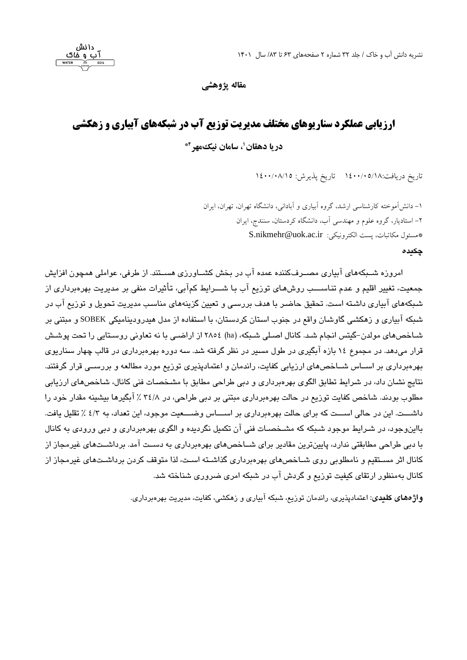دانش

**مقاله پژوهشی** 

# **ارزیابی عملکرد سناریوهای مختلف مدیریت توزیع آب در شبکه های آبیاری و زهکشی**

**2\* ، سامان نیک مهر <sup>1</sup> دریا دهقان**

تاریخ دریافت:١٤٠٠/٠٥/١٨ تاریخ پذیرش: ١٤٠٠/٠٨/١٥

-1 دانش آموخته کارشناسی ارشد، گروه آبیاری و آبادانی، دانشگاه تهران، تهران، ایران -2 استادیار، گروه علوم و مهندسی آب، دانشگاه کردستان، سنندج، ایران [S.nikmehr@uok.ac.ir](mailto:S.nikmehr@uok.ac.ir) :الکترونیکی S.nikmehr@uok.ac.ir

#### **چکیده**

امروزه شببکههای آبیاری مصبرفکننده عمده آب در بخش کشباورزی هستند. از طرفی، عواملی همچون افزایش جمعیت، تغییر اقلیم و عدم تناســـب روشهای توزیع آب بـا شـــرایط کمآبی، تأثیرات منفی بر مدیریت بهرهبرداری از شبکههای آبیاری داشته است. تحقیق حاضبر با هدف بررسی و تعیین گزینههای مناسب مدیریت تحویل و توزیع آب در شبکه آبیاری و زهکشی گاوشبان واقع در جنوب استان کردستان، با استفاده از مدل هیدرودینامیکی SOBEK و مبتنی بر شباخص های مولدن-گیتس انجام شب. کانال اصبلی شبکه، (ha) ٢٨٥٤ از اراضبی با نه تعاونی روستایی را تحت پوشش قرار میدهد. در مجموع ۱۶ بازه آبگیری در طول مسیر در نظر گرفته شد. سه دوره بهرهبرداری در قالب چهار سناریوی بهرهبرداری بر اســاس شــاخصهای ارزیابی کفایت، راندمان و اعتمادپذیری توزیع مورد مطالعه و بررســی قرار گرفتند. نتایج نشان داد، در شرایط تطابق الگوی بهرهبرداری و دبی طراحی مطابق با مشخصبات فنی کانال، شباخصهای ارزیابی مطلوب بودند. شاخص کفایت توزیع در حالت بهرهبرداری مبتنی بر دبی طراحی، در ۳٤/٨ ٪ آبگیرها بیشینه مقدار خود را داشـــت. این در حالی اســـت که برای حالت بهرهبرداری بر اســـاس وضـــعیت موجود، این تعداد، به ٤/٣ ٪ تقلیل یافت. بااینوجود، در شـرایط موجود شـبکه که مشـخصـات فنی آن تکمیل نگردیده و الگوی بهرهبرداری و دبی ورودی به کانال با دبی طراحی مطابقتی ندارد، پایینترین مقادیر برای شــاخصهای بهرهبرداری به دسـت آمد. برداشــتهای غیرمجاز از کانال اثر مستقیم و نامطلوبی روی شباخصهای بهرهبرداری گذاشته است، لذا متوقف کردن برداشتهای غیرمجاز از کانال بهمنظور ارتقای کیفیت توریع و گردش آب در شبکه امری ضروری شناخته شد.

<mark>واژههای کلیدی:</mark> اعتمادپذیری، راندمان توزیم، شبکه آبیاری و زهکشی، کفایت، مدیریت بهرهبرداری.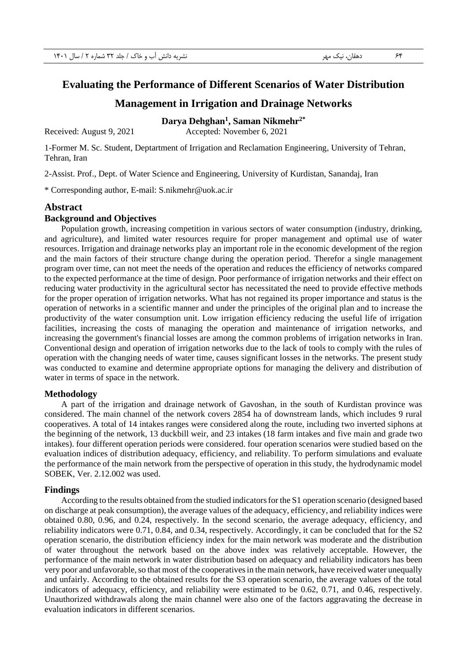## **Evaluating the Performance of Different Scenarios of Water Distribution**

## **Management in Irrigation and Drainage Networks**

#### **Darya Dehghan<sup>1</sup> , Saman Nikmehr2\***

Received: August 9, 2021 Accepted: November 6, 2021

1-Former M. Sc. Student, Deptartment of Irrigation and Reclamation Engineering, University of Tehran, Tehran, Iran

2-Assist. Prof., Dept. of Water Science and Engineering, University of Kurdistan, Sanandaj, Iran

\* Corresponding author, E-mail: [S.nikmehr@uok.ac.ir](mailto:S.nikmehr@uok.ac.ir)

#### **Abstract**

#### **Background and Objectives**

Population growth, increasing competition in various sectors of water consumption (industry, drinking, and agriculture), and limited water resources require for proper management and optimal use of water resources. Irrigation and drainage networks play an important role in the economic development of the region and the main factors of their structure change during the operation period. Therefor a single management program over time, can not meet the needs of the operation and reduces the efficiency of networks compared to the expected performance at the time of design. Poor performance of irrigation networks and their effect on reducing water productivity in the agricultural sector has necessitated the need to provide effective methods for the proper operation of irrigation networks. What has not regained its proper importance and status is the operation of networks in a scientific manner and under the principles of the original plan and to increase the productivity of the water consumption unit. Low irrigation efficiency reducing the useful life of irrigation facilities, increasing the costs of managing the operation and maintenance of irrigation networks, and increasing the government's financial losses are among the common problems of irrigation networks in Iran. Conventional design and operation of irrigation networks due to the lack of tools to comply with the rules of operation with the changing needs of water time, causes significant losses in the networks. The present study was conducted to examine and determine appropriate options for managing the delivery and distribution of water in terms of space in the network.

#### **Methodology**

A part of the irrigation and drainage network of Gavoshan, in the south of Kurdistan province was considered. The main channel of the network covers 2854 ha of downstream lands, which includes 9 rural cooperatives. A total of 14 intakes ranges were considered along the route, including two inverted siphons at the beginning of the network, 13 duckbill weir, and 23 intakes (18 farm intakes and five main and grade two intakes). four different operation periods were considered. four operation scenarios were studied based on the evaluation indices of distribution adequacy, efficiency, and reliability. To perform simulations and evaluate the performance of the main network from the perspective of operation in this study, the hydrodynamic model SOBEK, Ver. 2.12.002 was used.

#### **Findings**

According to the results obtained from the studied indicators for the S1 operation scenario (designed based on discharge at peak consumption), the average values of the adequacy, efficiency, and reliability indices were obtained 0.80, 0.96, and 0.24, respectively. In the second scenario, the average adequacy, efficiency, and reliability indicators were 0.71, 0.84, and 0.34, respectively. Accordingly, it can be concluded that for the S2 operation scenario, the distribution efficiency index for the main network was moderate and the distribution of water throughout the network based on the above index was relatively acceptable. However, the performance of the main network in water distribution based on adequacy and reliability indicators has been very poor and unfavorable, so that most of the cooperatives in the main network, have received water unequally and unfairly. According to the obtained results for the S3 operation scenario, the average values of the total indicators of adequacy, efficiency, and reliability were estimated to be 0.62, 0.71, and 0.46, respectively. Unauthorized withdrawals along the main channel were also one of the factors aggravating the decrease in evaluation indicators in different scenarios.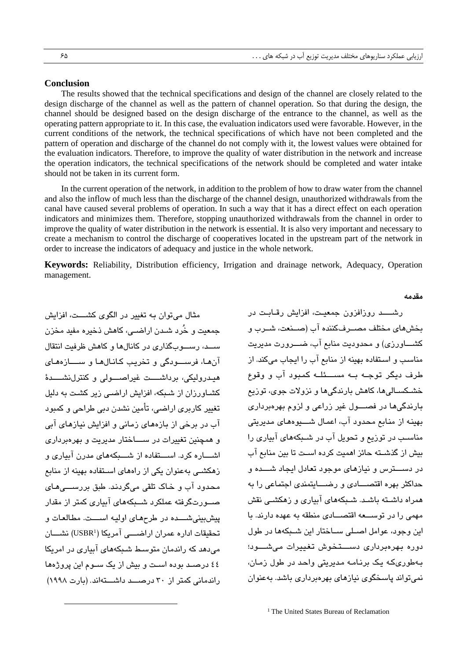#### **Conclusion**

The results showed that the technical specifications and design of the channel are closely related to the design discharge of the channel as well as the pattern of channel operation. So that during the design, the channel should be designed based on the design discharge of the entrance to the channel, as well as the operating pattern appropriate to it. In this case, the evaluation indicators used were favorable. However, in the current conditions of the network, the technical specifications of which have not been completed and the pattern of operation and discharge of the channel do not comply with it, the lowest values were obtained for the evaluation indicators. Therefore, to improve the quality of water distribution in the network and increase the operation indicators, the technical specifications of the network should be completed and water intake should not be taken in its current form.

In the current operation of the network, in addition to the problem of how to draw water from the channel and also the inflow of much less than the discharge of the channel design, unauthorized withdrawals from the canal have caused several problems of operation. In such a way that it has a direct effect on each operation indicators and minimizes them. Therefore, stopping unauthorized withdrawals from the channel in order to improve the quality of water distribution in the network is essential. It is also very important and necessary to create a mechanism to control the discharge of cooperatives located in the upstream part of the network in order to increase the indicators of adequacy and justice in the whole network.

**Keywords:** Reliability, Distribution efficiency, Irrigation and drainage network, Adequacy, Operation management.

**مقدمه**

مثال می توان به تغییر در الگوی کشبیت، افزایش جمعیت و خُرد شـدن اراضـی، کاهش ذخیره مفید مخزن سب، رسوبگذاری در کانالها و کاهش ظرفیت انتقال آنها، فرســودگی و تخریب کانالها و ســـازههای هیبدرولیکی، برداشبت غیراصبولی و کنترل نشبیدهٔ کشباورزان از شبیکه، افزایش اراضبی زیر کشبت به دلیل تغییر کاربری اراضی، تأمین نشدن دبی طراحی و کمبود آب در برخی از بازههای زمانی و افزایش نیازهای آبی و همچنین تغییرات در ســــاختار مدیریت و بهرهبردار*ی* اشباره کرد. اسبتفاده از شببکههای مدرن آبیاری و زهکشبی به عنوان یکی از راههای استفاده بهینه از منابع محدود آب و خاک تلقی میگردند. طبق بررسب,های صبورتگرفته عملکرد شبیکههای آبیاری کمتر از مقدار پیشبینی شبده در طرحهای اولیه اسبت. مطالعات و تحقیقات اداره عمران اراضــــی آمریکا (USBR<sup>1</sup>) نشــــان میدهد که راندمان متوسط شبکههای آبیاری در امریکا ٤٤ درصبد بوده است و بیش از یک سبوم این پروژهها راندمانی کمتر از ۳۰ درصب داشتهاند. (بارت ۱۹۹۸)

رشب روزافزون جمعیت، افزایش رقبابت در بخشهای مختلف مصبر فکننده آب (صبنعت، شبرب و کشباورزی) و محدودیت منابع آب، ضبور ت مدیریت مناسب و استفاده بهینه از منابع آب را ایجاب میکند. از .<br>طرف دیگر توجـه بـه مســـئلـه کمبود آب و وقوع خشبکستالیها، کاهش بارندگیها و نزولات جوی، توزیع بارندگیها در فصبول غیر زراعی و لزوم بهرهبرداری بهینه از منابع محدود آب، اعمال شبیوههای مدیریتی مناسب در توزیع و تحویل آب در شـبکههای آبیاری را بیش از گذشته حائز اهمیت کرده است تا بین منابع آب در دست رس و نیازهای موجود تعادل ایجاد شبیده و حداکثر بهره اقتصـــادی و رضــــایتمندی اجتماعی را به همراه داشـته باشـد. شـبکههای آبیاری و زهکشـی نقش مهمی را در توسعه اقتصادی منطقه به عهده دارند. با این وجود، عوامل اصبلی سیاختار این شبکهها در طول دوره بهرهبرداری دستخوش تغییرات می شبود؛ ب طوری که یک برنامه مدیریتی واحد در طول زمان، نمی تواند پاسخگوی نیازهای بهروبرداری باشد. بهعنوان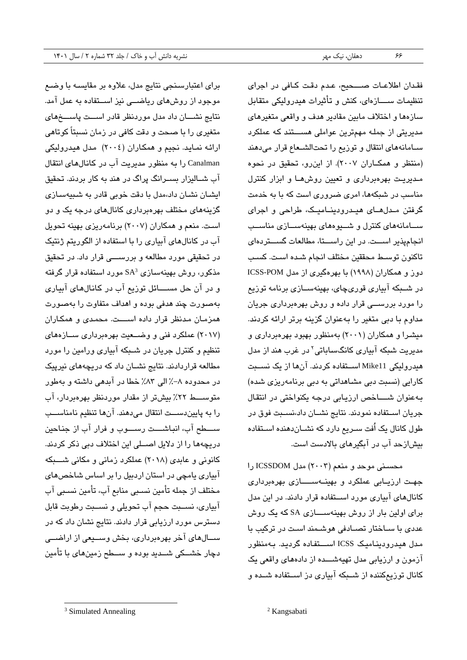برای اعتبارسنجی نتایج مدل، علاوه بر مقایسه با وضع موجود از روشهای ریاضــی نیز اســتفاده به عمل آمد. نتایج نشسان داد مدل موردنظر قادر اسست پاسسخهای متغیری را با صحت و دقت کافی در زمان نسبتاً کوتاهی ارائه نماید. نجیم و همکاران (٢٠٠٤) مدل هیدرولیکی Canalman را به منظور مدیریت آب در کانالهای انتقال آب شــالیزار بســرانگ پراگ در هند به کار بردند. تحقیق ایشبان نشبان داد،مدل با دقت خوبی قادر به شبیهسبازی گزینههای مختلف بهروبرداری کانالهای درجه یک و دو است. منعم و همكاران (٢٠٠٧) برنامهريزي بهينه تحويل آب در کانالهای آبیاری را با استفاده از الگوریتم ژنتیک در تحقیقی مورد مطالعه و بررســـی قرار داد. در تحقیق مذکور، روش بهینهسازی SA<sup>3</sup> مورد استفاده قرار گرفته و در آن حل مســــائل توزیع آب در کانالهای آبیاری بهصورت چند هدفی بوده و اهداف متفاوت را بهصورت همزمان مدنظر قرار داده است. محمدی و همکاران (۲۰۱۷) عملکرد فنی و وضعیت بهرهبرداری سازههای تنظیم و کنترل جریان در شـبکه آبیاری ورامین را مورد مطالعه قراردادند. نتایج نشــان داد که دریچههای نیرپیک در محدوده ۸–٪ الی ۸۳٪ خطا در آبدهی داشته و بهطور متوســـط ٢٢٪ بیشتر از مقدار موردنظر بهرهبردار، آب را به پایین دست انتقال می دهند. آنها تنظیم نامناسب سبطح آب، انباشبت رسبوب و فرار آب از جناحین دریچهها را از دلایل اصــلی این اختلاف دبی ذکر کردند. کانونی و عابدی (۲۰۱۸) عملکرد زمانی و مکانی شـــبکه آبیاری یامچی در استان اردبیل را بر اساس شاخصهای مختلف از جمله تأمین نسببی منابع آب، تأمین نسببی آب آبیاری، نســبت حجم آب تحویلی و نســبت رطوبت قابل دسترس مورد ارزیابی قرار دادند. نتایج نشان داد که در ســالهای آخر بهرهبرداری، بخش وســیعی از اراضــی دچار خشسکی شسدید بوده و سسطح زمینهای با تأمین

فقدان اطلاعات صبحیح، عدم دقت کافی در اجرای تنظیمات ســـــازهای، کنش و تأثیرات هیدرولیکی متقابل سازهها و اختلاف مابین مقادیر هدف و واقعی متغیرهای مدیریتی از جمله مهمترین عواملی هسستند که عملکرد سامانههای انتقال و توزیع را تحتالشعاع قرار میدهند (منتظر و همکاران ٢٠٠٧). از این رو، تحقیق در نحوه مدیریت بهرهبرداری و تعیین روشها و ابزار کنترل مناسب در شبکهها، امری ضروری است که با به خدمت گرفتن مبدلهبای هبیدرودبنبامبیک، طراحی و اجرای سهامانههای کنترل و شبوههای بهینهسبازی مناسب انجامپذیر است. در این راستا، مطالعات گستردهای تاکنون توسط محققین مختلف انجام شبده است. کسب دوز و همکاران (۱۹۹۸) با بهرهگیری از مدل ICSS-POM در شــبکه آبیاری قوریچای، بهینهســازی برنامه توزیع را مورد بررســی قرار داده و روش بهرهبرداری جریان مداوم با دبی متغیر را بهعنوان گزینه برتر ارائه کردند. میشبرا و همکاران (۲۰۰۱) بهمنظور بهبود بهرهبرداری و مدیریت شبکه آبیار*ی* کانگساباتی<sup>۲</sup> در غرب هند از مدل هیدرولیکی Mike11 استقاده کردند. آنها از یک نسبت کارانی (نسبت دبی مشاهداتی به دبی برنامهریزی شده) به عنوان شساخص ارزيابي درجه يكنواختي در انتقال جریان اسـتفاده نمودند. نتایج نشــان داد،نســبت فوق در طول کانال یک اُفت سـریع دارد که نشــان،دهنده اســتفاده بیشازحد آب در آبگیرهای بالادست است.

محسنی موحد و منعم (۲۰۰۳) مدل ICSSDOM را جهت ارزیـابی عملکرد و بهینــهســـــازی بهرهبرداری کانالهای آبیاری مورد استقاده قرار دادند. در این مدل برای اولین بار از روش بهینهســــازی SA که یک روش عددی با سـاختار تصـادفی هوشـمند اسـت در ترکیب با مدل هیدرودینامیک ICSS استفاده گردید. بهمنظور آزمون و ارزیابی مدل تهیهشـــده از دادههای واقعی یک کانال توزیعکننده از شـبکه آبیاری دز اسـتفاده شــده و

<sup>3</sup> Simulated Annealing

<sup>2</sup> Kangsabati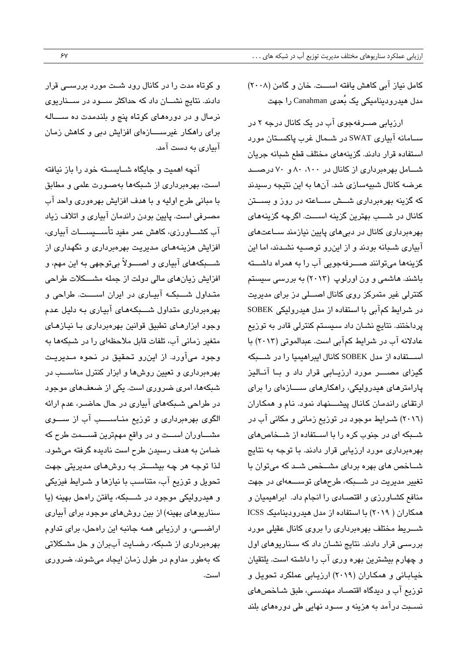کامل نیاز آبی کاهش بافته است. خان و گامن (۲۰۰۸) مدل هیدرودینامیکی یک بُعدی Canahman را جهت

ارزیابی صــرفهجوی آب در یک کانال درجه ۲ در سبامانه آبیاری SWAT در شبمال غرب پاکستان مورد استفاده قرار دادند. گزینههای مختلف قطع شبانه جریان شبامل بهروبرداری از کانال در ۸۰، ۸۰، ۷۰ و ۷۰ درصب عرضه کانال شبیهسازی شد. آنها به این نتیجه رسیدند که گزینه بهرهبرداری شـــش ســـاعته در روز و بســـتن کانال در شـــب بهترین گزینه اســـت. اگرچه گزینههای بهرهبرداری کانال در دبی های پایین نیازمند ســاعتهای آبیاری شبانه بودند و از اینرو توصیه نشدند، اما این گزینهها می توانند صب رفهجویی آب را به همراه داشت باشند. هاشمی و ون اورلوپ (۲۰۱۳) به بررسی سیستم کنترلی غیر متمرکز روی کانال اصطی دز برای مدیریت در شرایط کمآبی با استفاده از مدل هیدرولیکی SOBEK پرداختند. نتایج نشـان داد سـیسـتم کنترلی قادر به توزیع عادلانه آب در شرایط کمآبی است. عبدالموتی (۲۰۱۳) با استقاده از مدل SOBEK کانال ایبراهیمیا را در شبکه گیزای مصب مورد ارزیابی قرار داد و با آنالیز پارامترهای هیدرولیکی، راهکارهای ســازهای را برای ارتقای راندمان کانال پیشبنهاد نمود. نام و همکاران (٢٠١٦) شرایط موجود در توزیع زمانی و مکانی آب در شبکه ای در جنوب کره را با استفاده از شـخاصهای بهرهبرداری مورد ارزیابی قرار دادند. با توجه به نتایج شباخص های بهره بردای مشبخص شبد که میتوان با تغییر مدیریت در شـــبکه، طرحهای توســـعهای در جهت منافع کشباورزی و اقتصادی را انجام داد. ابراهیمیان و همکاران ( ۲۰۱۹) با استفاده از مدل هیدرودینامیک ICSS شبریط مختلف بهرهبرداری را بروی کانال عقیلی مورد بررسے، قرار دادند. نتایج نشـان داد که سـناریوهای اول و چهارم بیشترین بهره وری آب را داشته است. یلتقیان خیابانی و همکاران (۲۰۱۹) ارزیابی عملکرد تحویل و توزیع آب و دیدگاه اقتصـاد مهندسـی، طبق شـاخصهای نسبت درآمد به هزینه و سـود نهایی طی دورههای بلند

و کوتاه مدت را در کانال رود شـت مورد بررســی قرار دادند. نتایج نشـــان داد که حداکثر ســـود در ســــناریوی نرمال و در دورههای کوتاه پنج و بلندمدت ده سساله برای راهکار غیرســـازهای افزایش دبی و کاهش زمان آبیاری به دست آمد.

آنچه اهمیت و جایگاه شباسیته خورد را باز نیافته است، بهرهبرداری از شبکهها بهصورت علمی و مطابق با مبانی طرح اولیه و با هدف افزایش بهرهوری واحد آب مصبرفی است. پایین بودن راندمان آبیاری و اتلاف زیاد آب کشــــاورزی، کاهش عمر مفید تأســــیســــات آبیاری، افزایش هزینههای مدیریت بهرهبرداری و نگهداری از شب بکه های آبیاری و اصب ولاً بی توجهی به این مهم، و افزایش زیانهای مالی دولت از جمله مشسکلات طراحی متداول شبکه آبیاری در ایران است. طراحی و بهرهبرداری متداول شبکههای آبیاری به دلیل عدم وجود ابزارهای تطبیق قوانین بهرهبرداری با نیازهای متغیر زمانی آب، تلفات قابل ملاحظهای را در شبکهها به وجود میآورد. از این رو تحقیق در نحوه مـدیریـت بهرهبرداری و تعیین روشها و ابزار کنترل مناســب در شبکهها، امری ضروری است. یکی از ضعفهای موجود در طراحی شبکههای آبیاری در حال حاضـر، عدم ارائه الگوی بهرهبرداری و توزیع مناســـب آب از ســـوی مشــاوران اســت و در واقع مهمترین قســمت طرح که ضامن به هدف رسیدن طرح است نادیده گرفته می شود. لذا توجه هر چه بیشـــتر بـه روشهـای مدیریتی جهت تحویل و توزیع آب، متناسب با نیازها و شـرایط فیزیکی و هیدرولیکی موجود در شــــبکه، یافتن راهحل بهینه (یا سناریوهای بهینه) از بین روشهای موجود برای آبیاری اراضب، و ارزیابی همه جانبه این راهحل، برای تداوم بهرهبرداری از شبکه، رضـایت آببران و حل مشـکلاتی که بهطور مداوم در طول زمان ایجاد میشوند، ضروری است.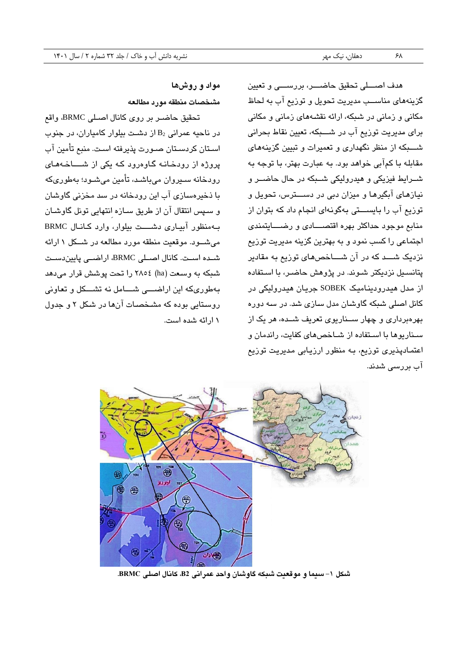هدف اصبلی تحقیق حاضب، بررسبی و تعیین گزینههای مناســب مدیریت تحویل و توزیع آب به لحاظ مکانی و زمانی در شبکه، ارائه نقشههای زمانی و مکانی برای مدیریت توزیع آب در شـــبکه، تعیین نقاط بحرانی شبکه از منظر نگهداری و تعمیرات و تبیین گزینههای مقابله با کمآبی خواهد بود. به عبارت بهتر، با توجه به شــرایط فیزیکی و هیدرولیکی شــبکه در حال حاضــر و نیازهای آبگیرها و میزان دبی در دستورس، تحویل و توزیع آب را بایستی بهگونهای انجام داد که بتوان از منابع موجود حداکثر بهره اقتصـــادی و رضـــایتمندی اجتماعی را کسب نمود و به بهترین گزینه مدیریت توزیع نزدیک شب که در آن شباخصهای توزیع به مقادیر پتانسیل نزدیکتر شـوند. در پژوهش حاضـر، با اسـتفاده از مدل هیدرودینامیک SOBEK جریان هیدرولیکی در کانل اصلی شبکه گاوشان مدل سازی شد. در سه دوره بهرهبرداری و چهار سخاریوی تعریف شـده، هر یک از سناریوها با استفاده از شاخص های کفایت، راندمان و اعتمادپذیری توزیع، به منظور ارزیابی مدیریت توزیع آب بررسے شدند.

# **مواد و روشها مشخصات منطقه مورد مطالعه**

تحقیق حاضبر بر روی کانال اصبلی BRMC، واقع در ناحیه عمرانی  $\mathrm{B}_2$  از دشت بیلوار کامیاران، در جنوب استان کردستان صـورت پذیرفته است. منبع تأمین آب پروژه از رودخانه گاوهرود که یکی از شساخههای رودخانه سـیروان میباشـد، تأمین میشـود؛ بهطوریکه با ذخیرهسازی آب این رودخانه در سد مخزنی گاوشان و سپس انتقال آن از طریق سازه انتهایی تونل گاوشان بب منظیر آبیباری دشبببب، بیمیارا وارد کبانبا BRMC میشبود. موقعیت منطقه مورد مطالعه در شبکل ۱ ارائه شبده اسبت. کانال اصبلی BRMC، اراضبی پایین دست شبکه به وسعت (ha) ٢٨٥٤ را تحت پوشش قرار می دهد بهطوریکه این اراضبی شسامل نه تشسکل و تعاونی روستایی بوده که مشخصات آنها در شکل ۲ و جدول ۱ ارائه شده است.



<span id="page-5-0"></span>**شکل -1 سیما و موقعی ت شبکه گاوشان واحد عمرانی 2B، کانال اصلی BRMC.**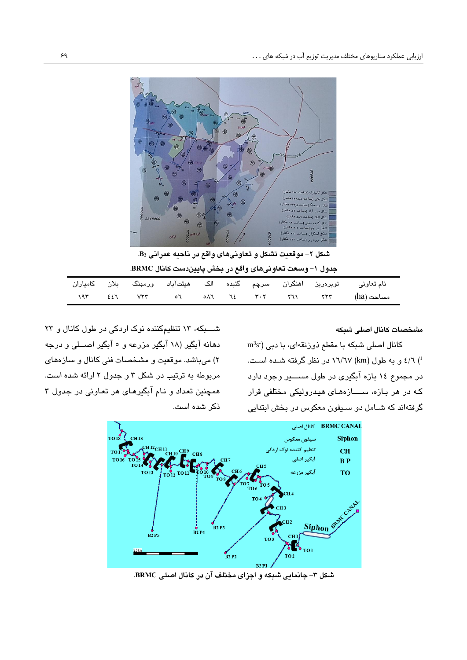

**شکل -2 موقعی ت تشکل و تعاون یهای واقع در ناحیه عمرانی <sup>2</sup>B.**

|             |            | جدول ١- وسعت تعاونيهاي واقع در بخش پايين دست كانال BRMC. |  |  |                                                                                                                                                                                                                                                  |                                                                                                        |
|-------------|------------|----------------------------------------------------------|--|--|--------------------------------------------------------------------------------------------------------------------------------------------------------------------------------------------------------------------------------------------------|--------------------------------------------------------------------------------------------------------|
|             |            |                                                          |  |  |                                                                                                                                                                                                                                                  | نام تعاونی       توبرہریز    آھنگران    سرچم    گنبدہ    الک    ھیئتآباد    ورمھنگ    بلان    کامیاران |
| $197$ $227$ | <b>VYY</b> |                                                          |  |  | $\begin{bmatrix} 0 & 0 & 0 \end{bmatrix}$ on the total state of the state of the state of the state of the state of the state of the state of the state of the state of the state of the state of the state of the state of the state of the sta | مساحت (ha)                                                                                             |

<span id="page-6-1"></span><span id="page-6-0"></span>**مشخصات کانال اصلی شبکه**

 $\rm m^3s$ ) کانال اصلی شبکه با مقطع ذورنقهای، با دبی ا ) ۲/ ٤ و به طول (km) ۱٦/٦٧ در نظر گرفته شـده اسـت. در مجموع ۱۶ بازه آبگیری در طول مســــیر وجود دارد که در هر بازه، ســــازههـای هیدرولیکی مختلفی قرار گرفتهاند که شبامل دو سیفون معکوس در بخش ابتدایی

شبکه، ۱۳ تنظیمکننده نوک اردکی در طول کانال و ۲۳ دهانه آبگیر (۱۸ آبگیر مزرعه و ٥ آبگیر اصــلی و درجه ۲) میباشد. موقعیت و مشخصات فنی کانال و سازههای مربوطه به ترتیب در شکل ۳ و جدول ۲ ارائه شده است. همچنین تعداد و نام آبگیرهای هر تعاونی در جدول ۳ ذکر شده است.



<span id="page-6-2"></span>**شکل -3 جانمایی شبکه و اجزای مختلف آن در کانال اصلی BRMC.**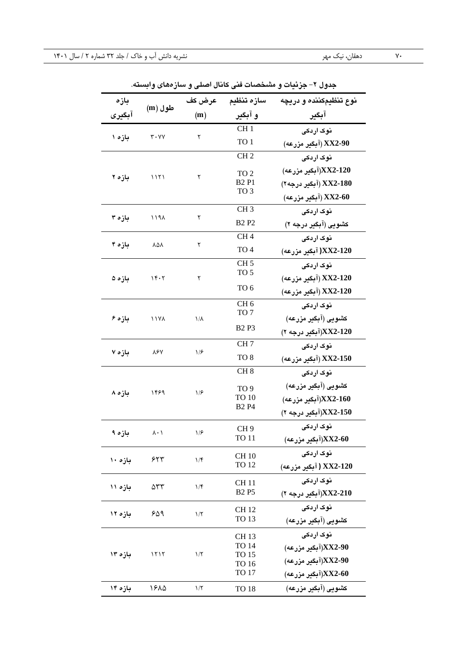| جدوں ۱– جریعات و مستحصات قتی حاتان اصلی و سار مفای وابسته. |                                          |                       |                                                                                        |                        |  |  |  |  |
|------------------------------------------------------------|------------------------------------------|-----------------------|----------------------------------------------------------------------------------------|------------------------|--|--|--|--|
| بازه                                                       | طول (m                                   |                       | سازه تنظيم عرض كف                                                                      | نوع تنظیمکننده و دریچه |  |  |  |  |
| آبگیری                                                     |                                          | (m)                   | و آبگیر                                                                                | آبگیر                  |  |  |  |  |
|                                                            |                                          |                       | CH <sub>1</sub>                                                                        | نوک اردکی              |  |  |  |  |
| بازه ۱                                                     | $\mathbf{r} \cdot \mathbf{v} \mathbf{v}$ | ٢                     | TO 1                                                                                   | XX2-90 (آبگیر مزرعه)   |  |  |  |  |
|                                                            |                                          |                       | CH <sub>2</sub>                                                                        | نوک اردکی              |  |  |  |  |
|                                                            |                                          |                       | TO <sub>2</sub>                                                                        | XX2-120(آبگیر مزرعه)   |  |  |  |  |
| بازه ۲                                                     | 1151                                     | ٢                     | <b>B2P1</b>                                                                            | XX2-180 (آبگیر درجه ۲) |  |  |  |  |
|                                                            |                                          |                       | TO <sub>3</sub>                                                                        | XX2-60 (آبگیر مزرعه)   |  |  |  |  |
|                                                            |                                          |                       | CH <sub>3</sub>                                                                        | نوک اردکی              |  |  |  |  |
| بازه ۳                                                     | ۱۱۹۸                                     | ٢                     | <b>B2 P2</b>                                                                           | کشویی (آبگیر درجه ۲)   |  |  |  |  |
|                                                            |                                          |                       | CH <sub>4</sub>                                                                        | نوک اردکی              |  |  |  |  |
| بازه ۴                                                     | <b>YQV</b>                               | ٢                     | TO <sub>4</sub>                                                                        | XX2-120 (آبگیر مزرعه)  |  |  |  |  |
|                                                            |                                          |                       | CH <sub>5</sub>                                                                        | نوک اردکی              |  |  |  |  |
| بازه ۵                                                     | 15.7                                     | ٢                     | TO <sub>5</sub>                                                                        | XX2-120 (آبگیر مزرعه)  |  |  |  |  |
|                                                            | TO 6                                     | XX2-120 (آبگیر مزرعه) |                                                                                        |                        |  |  |  |  |
|                                                            |                                          |                       | CH <sub>6</sub><br>TO 7                                                                | نوک اردکی              |  |  |  |  |
| بازه ۶                                                     | <b>1177</b>                              | $1/\lambda$           |                                                                                        | كشويي (آبگير مزرعه)    |  |  |  |  |
|                                                            |                                          |                       | B <sub>2</sub> P <sub>3</sub><br>CH <sub>7</sub><br>TO <sub>8</sub><br>CH <sub>8</sub> | XX2-120(آبگیر درجه ۲)  |  |  |  |  |
|                                                            | <b>787</b>                               |                       |                                                                                        | نوک اردکی              |  |  |  |  |
| بازه ۷                                                     |                                          |                       |                                                                                        | XX2-150 (آبگیر مزرعه)  |  |  |  |  |
|                                                            |                                          |                       |                                                                                        | نوک اردکی              |  |  |  |  |
|                                                            | ۱۴۶۹                                     | 1/5                   | 1/5<br>TO <sub>9</sub>                                                                 | کشویی (آبگیر مزرعه)    |  |  |  |  |
| بازه ۸                                                     |                                          |                       | <b>TO 10</b>                                                                           | XX2-160)آبگیر مزرعه)   |  |  |  |  |
|                                                            |                                          |                       | <b>B2 P4</b>                                                                           | XX2-150)(آبگیر درجه ۲) |  |  |  |  |
|                                                            | ۸۰۱                                      | ۱۱۶                   | CH <sub>9</sub>                                                                        | نوک اردکی              |  |  |  |  |
| بازه ۹                                                     |                                          |                       | TO 11                                                                                  | (آبگیر مزرعه)XX2-60    |  |  |  |  |
| بازه ۱۰                                                    | ۶۲۳                                      | 1/f                   | <b>CH 10</b>                                                                           | نوک اردکی              |  |  |  |  |
|                                                            |                                          |                       | TO 12                                                                                  | XX2-120 ( آبگیر مزرعه) |  |  |  |  |
| بازه ۱۱                                                    | ۵۳۳                                      | $1/\mathfrak{F}$      | CH 11                                                                                  | نوک اردکی              |  |  |  |  |
|                                                            |                                          |                       | <b>B2P5</b>                                                                            | XX2-210(آبگیر درجه ۲)  |  |  |  |  |
| بازه ۱۲                                                    | ۶۵۹                                      | 1/5                   | CH 12                                                                                  | نوک اردکی              |  |  |  |  |
|                                                            |                                          |                       | <b>TO 13</b>                                                                           | کشویی (آبگیر مزرعه)    |  |  |  |  |
|                                                            |                                          |                       | CH 13                                                                                  | نوک اردکی              |  |  |  |  |
| بازه ۱۳                                                    | 1515                                     | 1/5                   | TO 14<br>TO 15                                                                         | (XX2-90)آبگیر مزرعه)   |  |  |  |  |
|                                                            |                                          |                       | <b>TO 16</b>                                                                           | (XX2-90)آبگیر مزرعه)   |  |  |  |  |
|                                                            |                                          |                       | TO 17                                                                                  | (آبگیر مزرعه)XX2-60    |  |  |  |  |
| بازه ۱۴                                                    | 1880                                     | 1/5                   | <b>TO 18</b>                                                                           | کشویی (آبگیر مزرعه)    |  |  |  |  |

**جدول -2 جزئیات و مشخصات فنی کانال اصلی و سازه های وابسته.**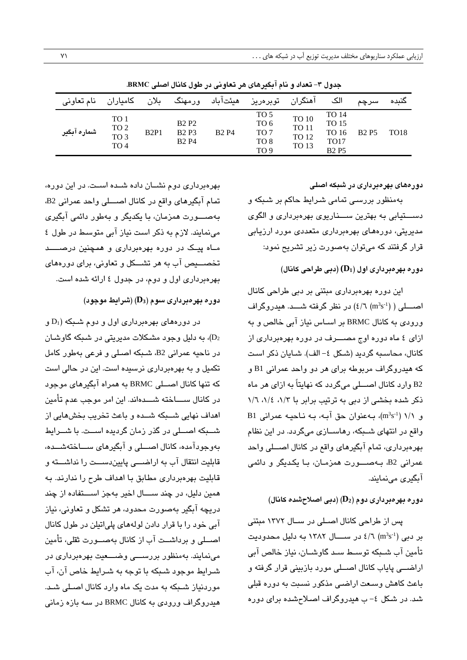| نام تعاوني  | كامياران                                           | بلان | ورمهنگ                                     | هيئتآباد     | آهنگران توبرەريز                                           |                                                              | الک                                                                | سرچم        | كنىدە       |
|-------------|----------------------------------------------------|------|--------------------------------------------|--------------|------------------------------------------------------------|--------------------------------------------------------------|--------------------------------------------------------------------|-------------|-------------|
| شماره آبگیر | TO 1<br>TO 2<br>TO <sub>3</sub><br>TO <sub>4</sub> | B2P1 | <b>B2P2</b><br><b>B2P3</b><br><b>B2 P4</b> | <b>B2 P4</b> | TO 5<br>TO 6<br>TO <sub>7</sub><br>TO 8<br>TO <sub>9</sub> | <b>TO 10</b><br><b>TO 11</b><br><b>TO 12</b><br><b>TO 13</b> | TO 14<br><b>TO 15</b><br>TO 16<br>TO <sub>17</sub><br><b>B2 P5</b> | <b>B2P5</b> | <b>TO18</b> |

**جدول -3 تعداد و نام آبگیرهای هر تعاونی در طول کانال اصلی BRMC.**

**دورههای بهرهبرداری در شبکه اصلی**

بهمنظور بررسی تمامی شـرایط حاکم بر شـبکه و دست یابی به بهترین ستاریوی بهرهبرداری و الگوی مدیریتی، دورههای بهرهبرداری متعددی مورد ارزیابی قرار گرفتند که میتوان بهصورت زیر تشریح نمود:

### **دوره بهرهبرداری اول )1D( (دبی طراحی کانال(**

این دوره بهرهبرداری مبتنی بر دبی طراحی کانال صــــلی (  $(2/\zeta\; (\mathrm{m}^3\mathrm{s}^{-1})$  در نظر گرفته شــــد. هیدروگراف ورودی به کانال BRMC بر اسـاس نیاز آبی خالص و به ازای ٤ ماه دوره اوج مصـــرف در دوره بهرهبرداری از کانال، محاسبه گردید (شکل ٤- الف). شـایان ذکر است که هیدروگراف مربوطه برای هر دو واحد عمرانی B1 و .<br>B2 وارد کانال اصبلی میگردد که نهایتاً به ازای هر ماه نکر شده بخشی از دبی به ترتیب برابر با ١/٢، ١/٤، ١/٦ و ۱/۱ (m<sup>3</sup>s<sup>-1</sup>)، به عنوان حق آبـه، بـه نـاحیـه عمرانی B1 واقع در انتهای شبکه، رهاسـازی میگردد. در این نظام بهرهبرداری، تمام آبگیرهای واقع در کانال اصبلی واحد عمرانی B2، ب1صبورت همزمان، با بکدیگر و دائمی آبگیری می نمایند.

#### **دوره بهرهبرداری دوم )2D( )دبی اصالحشده کانال(**

یس از طراحی کانال اصبلی در سبال ۱۳۷۲ مبتنی بر دبی  $( \ln^{3} s^{1} )$  در ســـال ۱۳۸۲ به دلیل محدودیت تأمین آب شـبکه توسـط سـد گاوشــان، نیاز خالص آبی اراضبي پاياب كانال اصبلي مورد بازبيني قرار گرفته و باعث کاهش وسعت اراضبی مذکور نسبت به دوره قبلی شد. در شکل ٤- ب هیدروگراف اصلاح شده برای دوره

بهر دیر داری دوح نشبان داده شبده است. در این دوره، تمام آبگیرهای واقع در کانال اصطلی واحد عمرانی B2، بهصبورت همزمان، با یکدیگر و بهطور دائمی آبگیری مینمایند. لازم به ذکر است نیاز آبی متوسط در طول ٤ مباه پیک در دوره بهرهبرداری و همچنین درصب تخصـــیص آب به هر تشـــکل و تعاونی، برای دورههای بهرهبرداری اول و دوم، در جدول ٤ ارائه شده است.

## **دوره بهرهبرداری سوم )3D( )شرایط موجود(**

در دورههای بهرهبرداری اول و دوم شبکه (D1 و ا، به دلیل وجود مشکلات مدیریتی در شبکه گاوشبان، $(D_2)$ در ناحیه عمرانی B2، شبکه اصبلی و فرعی بهطور کامل تکمیل و به بهرهبرداری نرسیده است. این در حالی است که تنها کانال اصبلی BRMC به همراه آبگیرهای موجود در کانال ســــاخته شــــدهاند. این امر موجب عدم تأمین اهداف نهابی شـــبکه شــده و باعث تخریب بخشهایی از شـــبکه اصـــلی در گذر زمان گردیده اســت. با شـــرایط به وجودآمده، کانال اصبلی و آبگیرهای سباختهشنده، قابلیت انتقال آب به اراضبی پاییندسبت را نداشبته و قابلیت بهرهبرداری مطابق با اهداف طرح را ندارند. به همین دلیل، در چند ســـال اخیر بهجز اســـتفاده از چند دریچه آبگیر بهصورت محدود، هر تشکل و تعاونی، نیاز آبی خود را با قرار دادن لولههای پلیاتیلن در طول کانال اصبلی و برداشیت آب از کانال بهصبورت ثقلی، تأمین می نمایند. به منظور بررسبی وضبعیت بهرهبرداری در شبرایط موجود شبکه با توجه به شبرایط خاص آن، آب موردنیاز شبکه به مدت یک ماه وارد کانال اصبلی شبد. هیدروگراف ورودی به کانال BRMC در سه بازه زمانی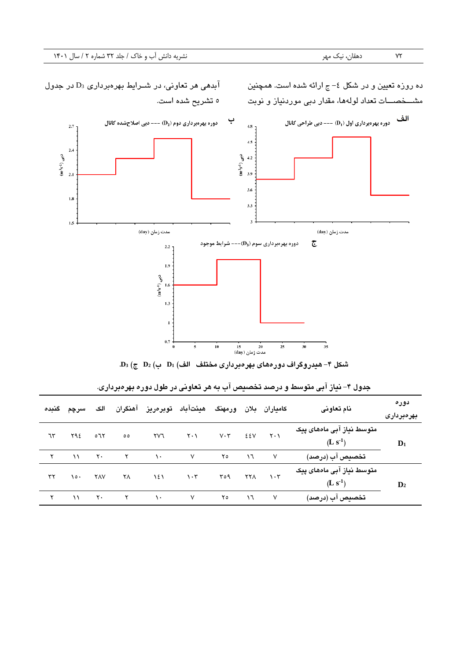آبدهی هر تعاونی، در شـرایط بهرهبرداری  $\mathrm{D}_3$  در جدول ده روزه تعیین و در شکل ٤– ج ارائه شده است. همچنین مشـــخصــــات تعداد لولهها، مقدار دبی موردنیاز و نوبت 5 غشر ح شده ار**.**، ا**لف** دوره بهرهبرداری اول (D<sub>1</sub>) --- دبی طراحی کانال ب دوره بهرهبرداری دوم ( $\mathbf{D}_2$ ) --- دبی اصلاحشده کانال  $2.7\,$  $4.8<sub>7</sub>$  $4.5$  $2,4$  $(m^3s^{-1})$  دبي <sup>2</sup> في (1-  $\frac{1}{2}$  1.2<br>5.  $\frac{1}{2}$  3.9  $2.1$  $3.6$  $1.8\,$  $3.3$  $1.5$  $\mathbf{3}$ 



<span id="page-9-0"></span>**شکل -4 هیدروگراف دورههای بهرهبرداری مختلف الف( 1D ب( 2D ج( 3D.**

|    | سرچم گنده | الک            |               |             | کامیاران بلان ورمهنگ هیئتآباد توبرەریز آهنگران |             |               |                               | نام تعاونی                             | دوره<br>بهرەبردارى |
|----|-----------|----------------|---------------|-------------|------------------------------------------------|-------------|---------------|-------------------------------|----------------------------------------|--------------------|
| ٦٣ | ۲۹٤       | ٥٦٢            | $\circ \circ$ | ۲V٦         | $\mathsf{Y} \cdot \mathsf{Y}$                  | $V \cdot Y$ | ٤٤٧           | $\mathsf{Y} \cdot \mathsf{Y}$ | متوسط نیاز آبی ماههای پیک<br>$(L s-1)$ | $\mathbf{D}_1$     |
|    | $\lambda$ | $\mathsf{Y}$ . | $\mathsf{r}$  | $\lambda$ . | $\vee$                                         | ۲٥          | $\mathcal{L}$ | $\vee$                        | تخصيص آب (درصد)                        |                    |
| ٣٢ | ۰٥۱       | <b>YAV</b>     | ۲Λ            | ۱٤١         | $\eta \cdot \tau$                              | ۳٥٩         | <b>YYA</b>    | $\cdot$ $\mathsf{r}$          | متوسط نیاز آبی ماههای پیک<br>$(L s-1)$ | $\mathbf{D}_2$     |
|    | $\lambda$ | $\mathsf{Y}$ . | $\mathsf{Y}$  | $\lambda$ . | V                                              | ۲٥          | $\mathcal{L}$ | $\sqrt{}$                     | تخصيص آب (درصد)                        |                    |

**جدول -4 نیاز آبی متوسط و درصد تخصی ص آب به هر تعاونی در طول دوره بهرهبرداری.**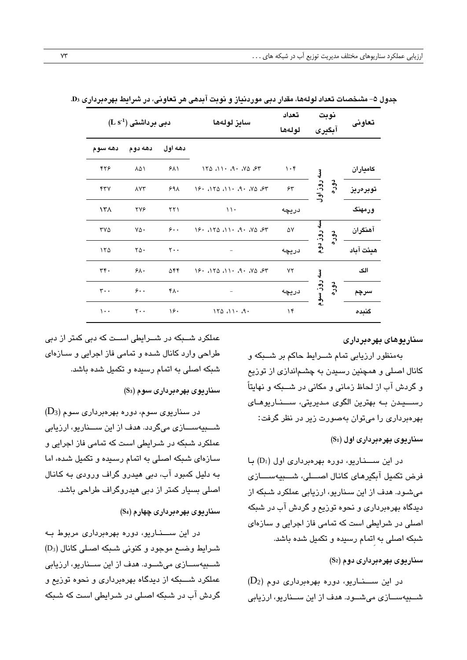|                 | $(\mathbf{L}\,\mathbf{s}^{-1})$ دبی برداشتی |                  | سايز لولەھا                    | تعداد<br>لولەھا | نوبت<br>آبگیری    | تعاونى    |
|-----------------|---------------------------------------------|------------------|--------------------------------|-----------------|-------------------|-----------|
| دهه سوم         | دهه دوم                                     | دهه اول          |                                |                 |                   |           |
| ۴۲۶             | ۸۵۱                                         | ۶۸۱              | $170.11 \cdot .9 \cdot .00.57$ | $\cdot$ ۴       | Į                 | كامياران  |
| ۴٣٧             | <b>AYT</b>                                  | ۶۹۸              | 19.4111.41.41.48.97            | 55              | . روز اول<br>دوره | توبرەرىز  |
| ۱۳۸             | <b>TYS</b>                                  | $\tau\tau$       | $\setminus \cdot$              | دريچه           |                   | ورمهنگ    |
| ۳۷۵             | ٧۵٠                                         | $\zeta$ .        | 19.071.011.011.097             | ۵۷              | 50 <sup>1</sup>   | آهنگران   |
| ۱۲۵             | ٢۵٠                                         | $Y \cdot \cdot$  | $\overline{\phantom{0}}$       | دريچه           | روز دوم           | هيئت آباد |
| $rrf$ .         | 5.6                                         | ۵۴۴              | 19.4111.41.41.48.97            | ٧٢              | Į                 | الک       |
| $\mathbf{r}$ .  | $\zeta$ .                                   | $f \wedge \cdot$ |                                | دريچه           | روز سوم<br>دوره   | سرچم      |
| $\mathcal{L}$ . | $\mathsf{r}\cdot\cdot$                      | ۱۶۰              | $170.11 \cdot .9 \cdot$        | ۱۴              |                   | گنبده     |

جدول ۵– مشخصات تعداد لولهها، مقدار دبی موردنداز و نوبت آبدهی هر تعاونی، در شرایط بهرهبرداری D3.

**سناریوهای بهرهبرداری**

به منظور ارزیابی تمام شــرایط حاکم بر شــبکه و کانال اصلی و همچنین رسیدن به چشماندازی از توزیع و گردش آب از لحاظ زمانی و مکانی در شـــبکه و نهایتاً رستیدن به بهترین الگوی مدیریتی، ستناریوهای بهرهبرداری را میتوان بهصورت زیر در نظر گرفت:

**سناریوی بهرهبرداری اول )1S)**

در این ســـناریو، دوره بهرهبرداری اول (D1) با فرض تکمیل آبگیرهای کانال اصبیلی، شبینهستازی میشود. هدف از این سناریو، ارزیابی عملکرد شبکه از دیدگاه بهرهبرداری و نحوه توزیع و گردش آب در شبکه اصلی در شرایطی است که تمامی فاز اجرایی و سازهای شبکه اصلی به اتمام رسیده و تکمیل شده باشد.

**سناریوی بهرهبرداری دوم )2S)**

 $(D_2)$  در این ســـنــاریو، دوره بهرهبرداری دوم ( $D_2$ شبیهستازی می شبود. هدف از این سیناریو، ارزیابی

عملکرد شــبکه در شــرایطی اســت که دبی کمتر از دبی طراحی وارد کانال شده و تمامی فاز اجرایی و سـازهای شبکه اصلی به اتمام رسبده و تکمیل شده باشد.

**سناریوی بهرهبرداری سوم )3S)**

در سناریوی سوم، دوره بهرهبرداری سوم (D3) شبببهی ربببازی موگردد هد از ا ن ربببنار یا ارز ابو عملکرد شبکه در شـرایطی است که تمامی فاز اجرایی و سازهای شبکه اصلی به اتمام رسیده و تکمیل شده، اما به دلیل کمبود آب، دبی هیدرو گراف ورودی به کانال اصلی بسیار کمتر از دبی هیدروگراف طراحی باشد.

**سناریوی بهرهبرداری چهارم )4S)**

در این ســـناریو، دوره بهرهبرداری مربوط به شبرایط وضب موجود و کنونی شبکه اصلی کانال (D3) شــبیهســازی میشــود. هدف از این ســناریو، ارزیابی عملکرد شــــبکه از دیدگاه بهرهبرداری و نحوه توزیع و گردش آب در شبکه اصلی در شـرایطی اسـت که شـبکه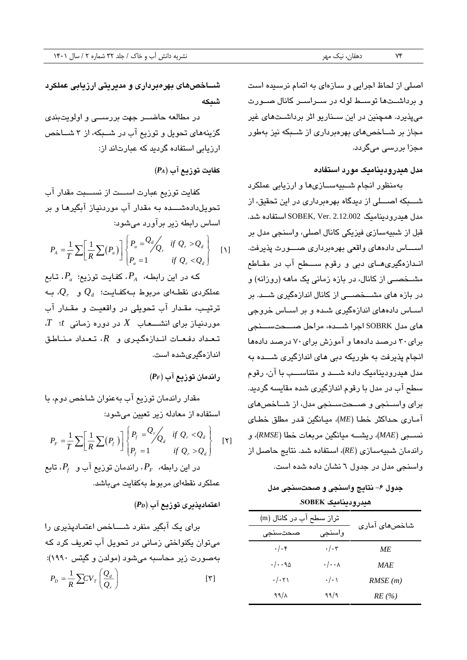اصلی از لحاظ اجرایی و سازهای به اتمام نرسیده است و برداشــتها توســط لوله در ســراســر کانال صــورت میپذیرد. همچنین در این ســناریو اثر برداشــتهای غیر مجاز بر شباخصهای بهرهبرداری از شببکه نیز بهطور مجزا بررس*ی* میگردد.

**مدل هیدرودینامیک مورد استفاده**

بهمنظور انجام شـبیهسـازیها و ارزیابی عملکرد شبکه اصبلی از دیدگاه بهرهبرداری در این تحقیق، از مدل هیدرودینامیک 2.12.002 SOBEK, Ver استفاده شد. قبل از شبیهسازی فیزیکی کانال اصلی، واسنجی مدل بر اسساس دادههای واقعی بهرهبرداری صسورت پذیرفت. انبدازهگیریهبای دبی و رقوم سیطح آب در مقباطع مشبخصبی از کانال، در بازه زمانی یک ماهه (روزانه) و در بازه های مشـــخصـــی از کانال اندازهگیری شـــد. بر اســاس دادههای اندازهگیری شــده و بر اســاس خروجی های مدل SOBRK اجرا شبده، مراحل صبحتسبنجی برای30 درصبد دادهها و آمیز برای70 درصبد دادهها انجام پذیرفت به طوریکه دبی های اندازگیری شسده به مدل هیدرودینامیک داده شب و متناسبب با آن، رقوم سطح آب در مدل با رقوم اندازگیری شده مقایسه گردید. برای واسـنجی و صــحتسـنجی مدل، از شــاخصهای آمباری حبداکثر صطبا )*ME*)ا میبانگین لبدر مطمق صطبای نسب *(MAE)، ريشته ميانگين مربعات خطا (RMSE)، و* راندمان شبیهساز*ی (RE)،* استفاده شد. نتایج حاصل از واسنجی مدل در جدول ٦ نشان داده شده است.

<span id="page-11-0"></span>**جدول -6 نتایج واسنجی و صحت سنجی مدل هیدرودینامیک SOBEK.** 

| تراز سطح آب در کانال (m | شاخصها <i>ی</i> آمار <i>ی</i> |            |
|-------------------------|-------------------------------|------------|
| صبحت سنجى               | واسنجى                        |            |
| $. / .$ ۴               | $\cdot/\cdot$ ۳               | МE         |
| ۱٬۰۹۵                   | $\cdot/\cdot\cdot$ $\wedge$   | <i>MAE</i> |
| $\cdot/\cdot$ $\tau$    | $\cdot/\cdot$ )               | RMSE(m)    |
| 99/1                    | 99/9                          | RE(%)      |

**شااا صهای بهرهبرداری و مدیریتی ارزیابی عملکرد شبکه**

در مطالعه حاضــر جهت بررســی و اولویتبندی گزینههای تحویل و توزیع آب در شبیکه، از ۳ شباخص ارزیابی استفاده گردید که عبارتاند از:

**کفایت توزیع آب** )*PA*)

کفایت توزیع عبارت اســـت از نســـبت مقدار آب غحی بلدادهشبببده بب مقبدار آب میردنیباز آبگیرهبا و بر اساس رابطه زیر برآورد میشود:

$$
P_A = \frac{1}{T} \sum \left[ \frac{1}{R} \sum (P_a) \right] \begin{cases} P_a = \frac{Q_d}{Q_r} & \text{if } Q_r > Q_d \\ P_a = 1 & \text{if } Q_r < Q_d \end{cases} \tag{1}
$$

که در این رابطه،  $P_A$ ، کفایت توزیع؛  $P_a$ ، تـابع عملکردی نقطـهای مربوط بـهکفـایـت؛  $\mathcal{Q}_d$  و  $\mathcal{Q}_r$ ، بـه ترتیب، مقدار آب تحویلی در واقعیت و مقدار آب  $\,$ ۰۰ در دوره زمانی  $t$  :  $\,$ ۰ در دوره زمانی تعداد دفعـات انـدازهگیـری و  $R$ ، تـعـداد مـنــاطـق اندازهگیریشده است.

**راندمان توزیع آب** )*PF*)

مقدار راندمان توزیع آب به عنوان شاخص دوم، با استفاده از معادله زیر تعیین میشود:

$$
P_F = \frac{1}{T} \sum \left[ \frac{1}{R} \sum (P_f) \right] \begin{Bmatrix} P_f = \frac{Q_r}{Q_d} & \text{if } Q_r < Q_d \\ P_f = 1 & \text{if } Q_r > Q_d \end{Bmatrix} \tag{1}
$$

در این رابطه،  $P_{F}$ ، راندمان توزیع آب و  $P_{f}$ ، تابع عملکرد نقطهای مربوط بهکفایت میباشد.

**اعتمادپذیری توزیع آب** )*PD*)

برای یک آبگیر منفرد شـــاخص اعتمـادپذیری را میتوان یکنواختی زمانی در تحویل آب تعریف کرد که به صورت زیر محاسبه می شود (مولدن و گیتس ۱۹۹۰):  $[\tilde{v}]$  $P_D = \frac{1}{R} \sum CV_T \left(\frac{Q_d}{Q_s}\right)$ *r*  $=\frac{1}{R}\sum CV_T\left(\frac{Q_d}{Q_r}\right)$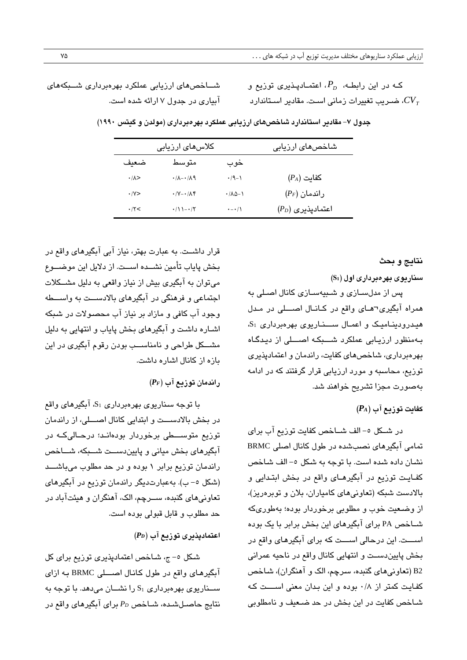<span id="page-12-0"></span>که در این رابطـه،  $P_{D}$ ، اعتمــادپـذیری توزیع و ا ضـریب تغییرات زمانی اسـت. مقادیر اسـتاندارد  $CV_{\mathit{\mathit{I}}}$ 

شباخص های ارزیابی عملکرد بهرهبرداری شببکههای آبیاری در جدول ۷ ارائه شده است.

|                 | کلاس <i>ه</i> ای ارزیابی                  |                                        | شاخص <i>ه</i> ای ارزیابی |
|-----------------|-------------------------------------------|----------------------------------------|--------------------------|
| ضعف             | متوسط                                     | خوب                                    |                          |
| $\cdot/\lambda$ | $.71 - 11$                                | $\cdot$ /9-1                           | $(P_A)$ كفايت            |
| $\cdot$ /Y $>$  | $\cdot$ /Y $-\cdot$ / $\wedge$ $\uparrow$ | $\cdot$ / $\wedge$ $\wedge$ - $\wedge$ | $(P_F)$ راندمان          |
| .15<            | $\cdot$ / \ \ $-\cdot$ / \                | $\cdot$ - $\cdot$ / \                  | $(P_D)$ اعتمادپذیری      |

**جدول -7 مقادیر استاندارد شا ص های ارزیابی عملکرد بهرهبرداری )مولدن و گیتس 1990(** 

**نتایج و بحث**

**سناریوی بهرهبرداری اول )1S)**

پس از مدلسازی و شبیهسازی کانال اصلی به همراه آبگیری¬هـای واقع در کـانـال اصـــلی در مـدل هیدرودینامیک و اعمال سخاریوی بهرهبرداری S<sub>1</sub> به منظور ارزیابی عملکرد شــبکه اصـــلی از دیدگـاه بهرهبرداری، شاخصهای کفایت، راندمان و اعتمادپذیری توزیع، محاسبه و مورد ارزیابی قرار گرفتند که در ادامه بهصورت مجزا تشریح خواهند شد.

## **کفایت توزیع آب )***PA***)**

در شبکل ٥-الف شباخص کفایت توزیع آب برای تمامی آبگیرهای نصب شده در طول کانال اصلی BRMC نشبان داده شده است. با توجه به شکل ٥- الف شبخص کفـایـت توزیع در آبگیرهـای واقع در بخش ابتـدایی و بالادست شبکه (تعاونیهای کامیاران، بلان و توبرهریز)، از وضعیت خوب و مطلوبی برخوردار بوده؛ بهطوریکه شباخص PA برای آبگیرهای این بخش برابر با یک بوده اســـت. این درحالی اســـت که برای آبگیرهای واقع در بخش پایین دست و انتهایی کانال واقع در ناحیه عمرانی 2B( غعاونوهای گنهدها ربرچ ا ال و آهنگراز(ا شباص کفایت کمتر از ۰/۸ بوده و این بدان معنی اســـت کـه شباخص کفایت در این بخش در حد ضبعیف و نامطلوبی

قرار داشــت. به عبارت بهتر، نیاز آبی آبگیرهای واقع در بخش پاياب تأمين نشــده اســت. از دلايل اين موضــوع می توان به آبگیری بیش از نیاز واقعی به دلیل مشکلات اجتماعی و فرهنگی در آبگیرهای بالادســت به واســـطه وجود آب کافی و مازاد بر نیاز آب محصولات در شبکه اشباره داشت و آبگیرهای بخش پایاب و انتهایی به دلیل مشکل طراحی و نامناسب بودن رقوم آبگیری در این بازه از کانال اشاره داشت.

## **راندمان توزیع آب** )*PF*)

با توجه سناریوی بهرهبرداری S1، آبگیرهای واقع در بخش بالادســـت و ابتدایی کانال اصــــلی، از راندمان توزیع متوســـطی برخوردار بودهانــد؛ درحــالیکــه در آبگیرهای بخش میانی و پاییندست شبکه، شباخص راندمان توزیع برابر ١ بوده و در حد مطلوب میباشب (شکل ٥– ب). به عبارتدیگر راندمان توزیع در آبگیرهای تعاونیهای گنبده، ســرچم، الک، آهنگران و هیئتآباد در حد مطلوب و قابل قبولی بوده است.

## **اعتمادپذیری توزیع آب** )*PD*)

شکل ٥- ج، شاخص اعتمادپذیری توزیع برای کل آبگیرهای واقع در طول کانال اصطلی BRMC به ازای ســـناریوی بهرهبرداری  $\mathrm{S_{1}}$  را نشـــان می $\mathrm{u}$ هد. با توجه به نتایج حاصبلشبده، شباخص *P<sub>D</sub> بر*ای آبگیرهای واقع در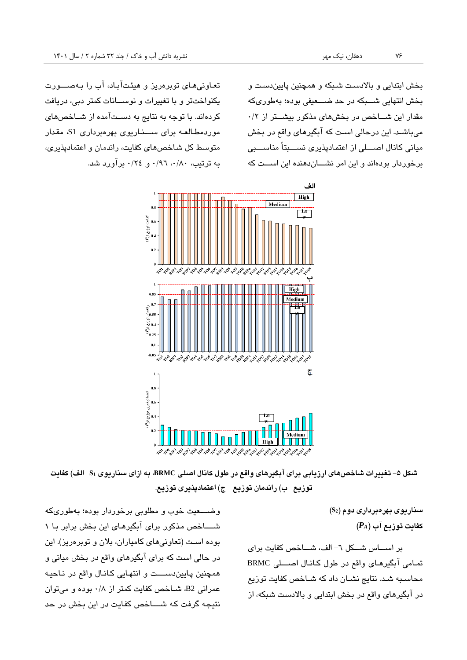بخش ابتدایی و بالادست شبکه و همچنین پاییندست و بخش انتهایی شبکه در حد ضبعیفی بوده؛ بهطوریکه مقدار این شساخص در بخشهای مذکور بیشتر از ۰/۲ میباشد. این درحالی است که آبگیرهای واقع در بخش میانی کانال اصبلی از اعتمادپذیری نسببتاً مناسببی برخوردار بودهاند و این امر نشساندهنده این اسست که

تعاونی های توپرهریز و هیئتآباد، آب را بهصبورت یکنواختتر و با تغییرات و نوســانات کمتر دبی، دریافت کردهاند. با توجه به نتایج به دستآمده از شـاخصهای موردمطالعه برای سخاریوی بهرهبرداری S1، مقدار متوسط کل شاخصهای کفایت، راندمان و اعتمادپذیری، به ترتیب، ۰/۹۰، ۰/۹٦ و ۲٤/۰ برآورد شد.



شکل ۵– تغییرات شاخصهای ارزیابی برای آبگیرهای واقع در طول کانال اصلی BRMC، به ازای سناریوی Sı الف) کفایت **توزیع ب( راندمان توزیع ج( اعتمادپذیری توزیع.** 

> <span id="page-13-0"></span>**سناریوی بهرهبرداری دوم )2S) کفایت توزیع آب )***PA***)**

بر اسساس شبکل ٦- الف، شباخص کفایت برای تمامی آبگیرهای واقع در طول کانال اصبلی BRMC محاسبه شبد نتایج نشبان داد که شباخص کفایت توزیع در آبگیرهای واقع در بخش ابتدایی و بالادست شبکه، از

وضبعیت خوب و مطلوبی برخوردار بوده؛ بهطوریکه شســاخص مذکور برای آبگیرهـای این بخش برابر بـا ١ بوده است (تعاونیهای کامیاران، بلان و توبرهریز). این در حالی است که برای آبگیرهای واقع در بخش میانی و همچنین پایین دست و انتهایی کانال واقع در ناحیه عمرانی B2، شباخص کفایت کمتر از ۰/۸ بوده و میتوان نتیجه گرفت که شساخص کفایت در این بخش در حد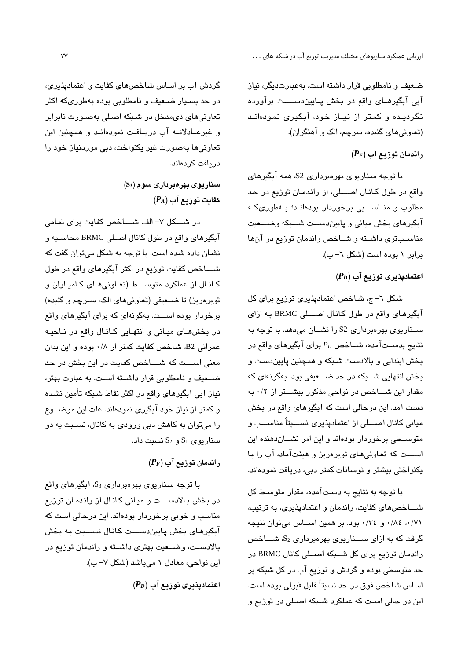ضعیف و نامطلوبی قرار داشته است. به عبارت دیگر، نیاز آبی آبگیرهای واقع در بخش پایین دست برآورده نگردیده و کمتر از نیاز خود، آبگیری نمودهاند (تعاونی های گنبده، سرچم، الک و آهنگران).

**راندمان توزیع آب )***PF***)**

با توجه سناریوی بهرهبرداری S2، همه آبگیرهای واقع در طول کانبال اصبو، از راندمبان توزیع در حد مطلوب و منـاســـبی برخوردار بودهانـد؛ بــهطوریکـه آبگیرهای بخش میانو و پا یندربب، شببه وضببعی، مناسبتری داشته و شباخص راندمان توزیع در آنها برابر ١ بوده است (شكل ٦- ب).

**اعتمادپذیری توزیع آب )***PD***)**

شکل ٦- ج، شاخص اعتمادپذیری توزیع برای کل آبگیرهای واقع در طول کانال اصطلی BRMC به ازای سخاریوی بهرهبرداری S2 را نشـان میدهد. با توجه به نتایج بدســتآمده، شــاخص P<sub>D</sub> برای آبگیرهای واقع در بخش ابتدایی و بالادست شبکه و همچنین پاییندست و بخش انتهایی شـــبکه در حد ضـــعیفی بود. بهگونهای که مقدار این شساخص در نواحی مذکور بیشستر از ۰/۲ به دست آمد. این درحالی است که آبگیرهای واقع در بخش میانی کانال اصبلی از اعتمادپذیری نسببتاً مناسب و متوســطی برخوردار بودهاند و این امر نشـــاندهنده این اســـت که تعاونیهای توبرهریز و هیئتآباد، آب را با نکنواختی بیشتر و نوسانات کمتر دبی، دریافت نمودهاند.

با توجه به نتایج به دستآمده، مقدار متوسط کل شساخص های کفایت، راندمان و اعتمادپذیری، به ترتیب، ٠/٧١، ١/٤٠ و ٣٤/٠ بود. بر همین اســاس مى توان نتيجه گرفت که به ازای ســــناریوی بهرهبرداری  $S_2$ ، شــــاخص راندمان توزیع برای کل شــبکه اصــلی کانال BRMC در حد متوسطی بوده و گردش و توزیع آب در کل شبکه بر اساس شاخص فوق در حد نسبتاً قابل قبولی بوده است. این در حالی است که عملکرد شـبکه اصـلی در توزیع و

گردش آب بر اساس شاخصهای کفایت و اعتمادپذیری، در حد بسـیار ضـعیف و نامطلوبی بوده بهطوریکه اکثر تعاونی های ذی مدخل در شبکه اصلی بهصورت نابرابر و غیرعـادلانـه آب دریـافت نمودهانـد و همچنین این تعاونیها بهصورت غیر یکنواخت، دبی موردنیاز خود را در یافت کردهاند.

> **سناریوی بهرهبرداری سوم )3S) کفایت توزیع آب )***PA***)**

در شبکل ۷- الف شباخص کفایت برای تمامی آبگیرهای واقع در طول کانال اصلی BRMC محاسبه و نشبان داده شبده است. با توجه به شکل میتوان گفت که شساخص کفایت توزیع در اکثر آبگیرهای واقع در طول کبانبال از عملکرد متوســط (تعباونیههای کبامیباران و توبرهریز) تا ضبعیفی (تعاونیهای الک، سبرچم و گنبده) برخودار بوده اســت. بهگونهای که برای آبگیرهای واقع در بخشهبای میبانی و انتهبایی کبانبال واقع در نباحیه عمرانی B2، شباخص کفایت کمتر از ۰/۸ بوده و این بدان معنی اسست که شساخص کفایت در این بخش در حد ضعیف و نامطلوبی قرار داشته است. به عبارت بهتر، نیاز آبی آبگیرهای واقع در اکثر نقاط شبکه تأمین نشده و کمتر از نیاز خود آبگیری نمودهاند. علت این موضـوع را میتوان به کاهش دبی ورودی به کانال، نسـبت به دو  $S_1$ ریوی  $S_1$  و  $S_2$  نسبت داد.

## **راندمان توزیع آب )***PF***)**

با توجه سناریوی بهرهبرداری S3، آبگیرهای واقع در بخش بالادست و میانی کانال از راندمان توزیع مناسب و خوبی برخوردار بودهاند. این درحالی است که آبگیرهای بخش پایین سبت کبانال نسببت به بخش بالادست، وضبعیت بهتری داشبته و راندمان توزیع در این نواحی، معادل ۱ میباشد (شکل ۷- ب).

**اعتمادپذیری توزیع آب )***PD***)**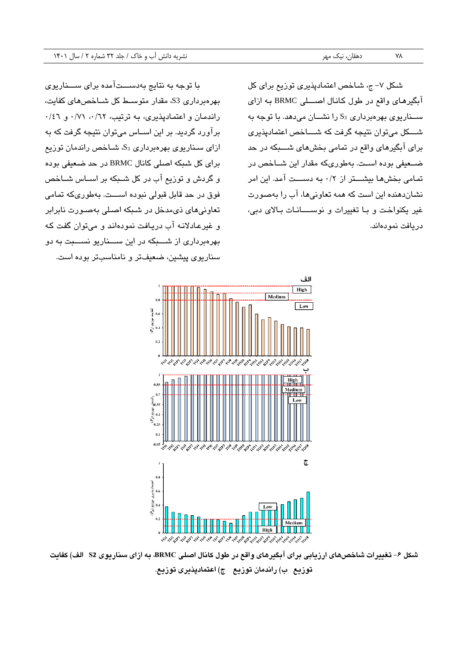شکل ۷– ج، شاخص اعتمادپذیری توزیع برای کل آبگیرهای واقع در طول کانال اصطلی BRMC به ازای ســناریوی بهرهبرداری S<sub>3</sub> را نشــان می دهد. با توجه به شبکل میتوان نتیجه گرفت که شساخص اعتمادپذیری برای آبگیرهای واقع در تمامی بخشهای شــــبکه در حد ضبعیفی بوده است. بهطوریکه مقدار این شباخص در تمامی بخشها بیشتر از ۰/۲ به دست آمد. این امر نشباندهنده این است که همه تعاونی ها، آب را بهصورت غیر یکنواخت و ببا تغییرات و نوسسانبات ببالای دبی، دريافت نمودهاند.

با توجه به نتایج به دســـتآمده برای ســـناریوی بهرهبرداری S3 مقدار متوسط کل شباخصهای کفایت، راندمان و اعتمادپذیری، به ترتیب، ۰/۲۱ / ۰/۶۱ و ۰/٤٦ برآورد گردید. بر این اسـاس میتوان نتیجه گرفت که به ازای سناریوی بهرهبرداری S3، شاخص راندمان توزیع برای کل شبکه اصلی کانال BRMC در حد ضعیفی بوده و گردش و توزیع آب در کل شبکه بر اسـاس شــاخص فوق در حد قابل قبولی نبوده اســـت. بهطوریکه تمامی تعاونی های نو،مدخل در شبکه اصبلی بهصورت نابرابر و غیرعادلانه آب دریافت نمودهاند و میتوان گفت که بهرهبرداری از شببکه در این سبخاریو نسببت به دو سناریوی پیشین، ضعیفتر و نامناسبتر بوده است.



<span id="page-15-0"></span>شكل ۶– تغييرات شاخصهاى ارزيابي براي آبگيرهاي واقع در طول كانال اصلي BRMC، به ازاي سناريوي S2 الف) كفايت **توزیع ب( راندمان توزیع ج( اعتمادپذیری توزیع.**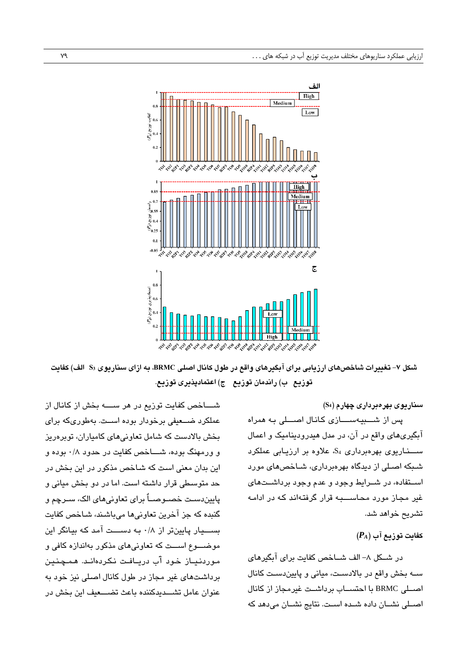

شكل ۷– تغييرات شاخصهاي ارزيابي براي آبگيرهاي واقع در طول كانال اصلي BRMC، به ازاي سناريوي S3 الف) كفايت **توزیع ب( راندمان توزیع ج( اعتمادپذیری توزیع.** 

#### <span id="page-16-0"></span>**سناریوی بهرهبرداری چهارم )4S)**

پس از شبیهسازی کانال اصبلی به همراه آبگیریهای واقع در آن، در مدل هیدرودینامیک و اعمال ســـناریوی بهرهبرداری S<sub>4</sub> علاوه بر ارزیـابی عملکرد شبکه اصلی از دیدگاه بهرهبرداری، شـاخصهای مورد استفاده، در شـرایط وجود و عدم وجود برداشـتهای غیر مجاز مورد محاســـبه قرار گرفتهاند که در ادامه تشریح خواهد شد.

### **کفایت توزیع آب )***PA***)**

در شبکل ۸– الف شباخص کفایت برای آبگیرهای سـه بخش واقع در بالادسـت، میانی و پاییندسـت کانال اصبلی BRMC با احتسباب برداشبت غیرمجاز از کانال اصبلی نشبان داده شبده است. نتایج نشبان میدهد که

شســاخص کفایت توزیع در هر ســـــه بخش از کانـال از عملکرد ضبعیفی برخودار بوده است. بهطوریکه برای بخش بالادست که شامل تعاونی های کامیاران، توبرهریز و ورمهنگ بوده، شساخص کفایت در حدود ۰/۸ بوده و این بدان معنی است که شـاخص مذکور در این بخش در حد متوسطی قرار داشته است. اما در دو بخش میانی و پاییندست خصــوصــاٌ برای تعاونیهای الک، ســرچم و گنبده که جز آخرین تعاونیها میباشند، شـاخص کفایت بسب یار پایینتر از ۰/۸ به دست آمد که بیانگر این موضبوع است که تعاونیهای مذکور بهاندازه کافی و مبوردنباز خود آب دریافت نکردهانب. همچنین برداشتهای غیر مجاز در طول کانال اصلی نیز خود به عنوان عامل تشبدیدکننده باعث تضبعیف این بخش در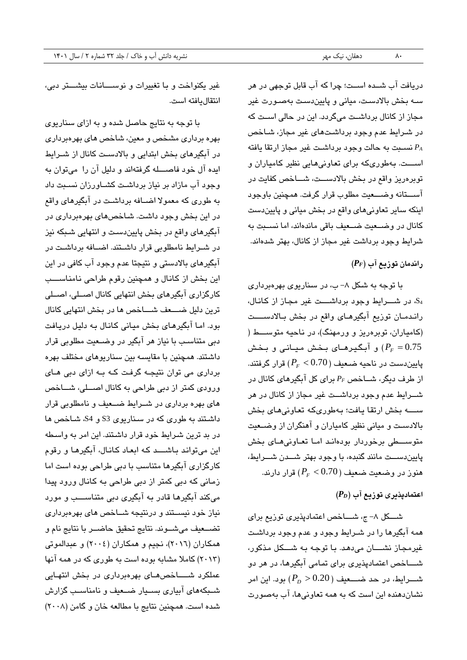دریافت آب شبده اسبت؛ چرا که آب قابل توجهی در هر سه بخش بالادست، میانی و پاییندست بهصـورت غیر مجاز از کانال برداشــت میگردد. این در حالی اســت که در شـرایط عدم وجود برداشتهای غیر مجاز، شـاخص نسبت به حالت وجود برداشت غیر مجاز ارتقا یافته  $P_A$ اسست. بهطوریکه برای تعاونیهایی نظیر کامیاران و توبرهریز واقع در بخش بالادســت، شـــاخص کفایت در آســـتانه وضــــعیت مطلوب قرار گرفت. همچنین باوجود اینکه سایر تعاونیهای واقع در بخش میانی و پاییندست کانال در وضبعیت ضبعیف باقی ماندهاند، اما نسبت به شرایط وجود برداشت غیر مجاز از کانال، بهتر شدهاند.

# **راندمان توزیع آب )***PF***)**

با توجه به شکل ۸- ب، در سناریوی بهرهبرداری  $S_4$  در شـــرایط وجود برداشـــت غیر مجاز از کانال، راندمبان توزیع آبگیرهبای واقع در بخش بالادست (کامیاران، توبرهریز و ورمهنگ)، در ناحیه متوســط ( و آبگیرها*ی* بخش میانی و بخش ( $P_{F} = 0.75\,$ پاییندست در ناحیه ض**عی**ف ( P<sub>F</sub> < 0.70) قرار گرفتند. از طرف دیگر، شــاخص *P<sub>F</sub> بر*ای کل آبگیرهای کانال در شبرایط عدم وجود برداشبت غیر مجاز از کانال در هر سب بخش ارتقا بافت؛ بهطوریکه تعاونی های بخش بالادست و میانی نظیر کامیاران و آهنگران از وضبعیت متوسطی برخوردار بودهاند امبا تعباونی هبای بخش پاییندست مانند گنبده، با وجود بهتر شسدن شسرایط،  $(P_{\scriptscriptstyle F} < 0.70)$  هنوز در وضعیت ضعیف ( $P_{\scriptscriptstyle F} < 0.70$  قرار دارند.

#### **اعتمادپذیری توزیع آب )***PD***)**

شسکل ۸– ج، شساخص اعتمادپذیری توزیع برای همه آبگیرها را در شـرایط وجود و عدم وجود برداشـت غیرمجاز نشسان می هد. با توجه به شبکل مذکور، شباخص اعتمادپذیری برای تمامی آبگیرها، در هر دو شــــرایط، در حد ضــــعیف (20.20 <  $(P_{\scriptscriptstyle D} > 0.20)$  بود. این امر نشاندهنده این است که به همه تعاونیها، آب بهصورت

غیر یکنواخت و با تغییرات و نوسسانات بیشستر دبی، انتقال بافته است.

با توجه به نتایج حاصل شده و به ازای سناریوی بهره برداری مشخص و معین، شاخص های بهرهبرداری در آبگیرهای بخش ابتدایی و بالادست کانال از شـرایط ابده آل خود فاصیله گرفتهاند و دلیل آن را میتوان به وجود آب مازاد بر نیاز برداشت کشباورزان نسبت داد به طوری که معمولا اضبافه برداشت در آبگیرهای واقع در این بخش وجود داشت. شاخصهای بهرهبرداری در آبگیرهای واقع در بخش پاییندست و انتهایی شبکه نیز در شبرایط نامطلوبی قرار داشبتند. اضبافه برداشب در آبگیرهای بالادستی و نتیجتا عدم وجود آب کافی در این این بخش از کانال و همچنین رقوم طراحی نامناسب کارگزاری آبگیرهای بخش انتهایی کانال اصــلی، اصــلی ترین دلیل ضبعف شباخص ها در بخش انتهایی کانال بود. اما آبگیرهای بخش میانی کانال به دلیل دریافت دبی متناسب با نیاز هر آبگیر در وضبعیت مطلوبی قرار داشتند. همچنین با مقایسه بین سناریوهای مختلف بهره برداری می توان نتیجه گرفت کـه بـه ازای دبی هـای ورودی کمتر از دبی طراحی به کانال اصطی، شباخص های بهره برداری در شـرایط ضـعیف و نامطلوبی قرار داشتند به طوری که در سناریوی S3 و S4، شاخص ها در بد ترین شرایط خود قرار داشتند. این امر به واسطه این می تواند باشبد که ابعاد کانبال، آبگیرها و رقوم کارگزاری آبگیرها متناسب با دبی طراحی بوده است اما زمانی که دبی کمتر از دبی طراحی به کانال ورود پیدا میکند آبگیرها قادر به آبگیری دبی متناســـب و مورد نیاز خود نیستند و درنتیجه شباخص های بهرهبرداری تضبعیف می شوند. نتایج تحقیق حاضب با نتایج نام و همکاران (٢٠١٦)، نجیم و همکاران (٢٠٠٤) و عبدالموتی (٢٠١٣) کاملا مشابه بوده است به طوری که در همه آنها عملکرد شساخص های بهرهبرداری در بخش انتهایی شبکههای آبیاری بسیار ضبعیف و نامناسب گزارش شده است. همچنین نتایج با مطالعه خان و گامن (۲۰۰۸)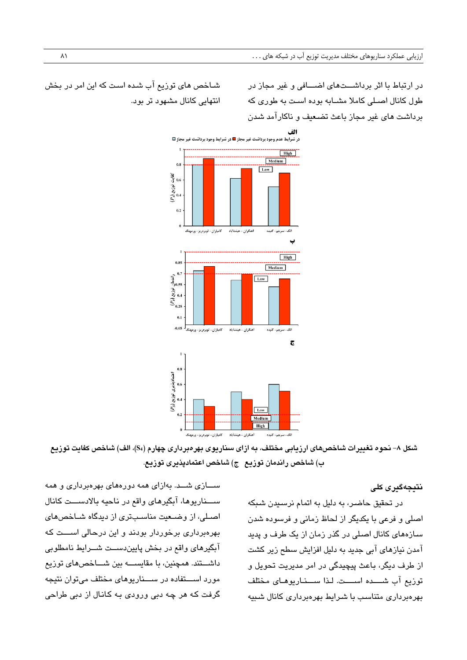در ارتباط با اثر برداشتهای اضبافی و غیر مجاز در طول کانال اصلی کاملا مشابه بوده است به طوری که برداشب، های غیر مجاز باعث غضبعیف و ناکارآمد شبدز

شباخص های توزیع آب شده است که این امر در بخش انتهایی کانال مشهود تر بود.



شکل ۸– نحوه تغییرات شاخصهای ارزیابی مختلف، به ازای سناریوی بهرهبرداری چهارم (S4)، الف) شاخص کفایت توزیع **ب( شا ص راندمان توزیع ج( شا ص اعتمادپذیری توزیع .** 

## <span id="page-18-0"></span>**نتیجهگیری کلی**

در تحقیق حاضر، به دلیل به اتمام نرسیدن شبکه اصلی و فرعی با یکدیگر از لحاظ زمانی و فرسوده شدن سازههای کانال اصلی در گذر زمان از یک طرف و پدید آمدن نیازهای آبی جدید به دلیل افزایش سطح زیر کشت از طرف دیگر، باعث پیچیدگی در امر مدیریت تحویل و توزیع آب شبده اسبت. لذا سبخاریوهای مختلف بهرهبرداری متناسب با شرایط بهرهبرداری کانال شبیه

ســـازی شـــد. بهازای همه دورههای بهرهبرداری و همه ســـناریوها، آبگیرهای واقع در ناحیه بالادســـت کانال اصلی، از وضعیت مناسبتری از دیدگاه شباخصهای بهرهبرداری برخوردار بودند و این درحالی اسست که آبگیرهای واقع در بخش پاییندست شورایط نامطلوبی داشـــتند. همچنین، با مقایســــه بین شـــاخصهای توزیع مورد اســـتفاده در ســــناریوهای مختلف می توان نتیجه گرفت که هر چه دبی ورودی به کانال از دبی طراحی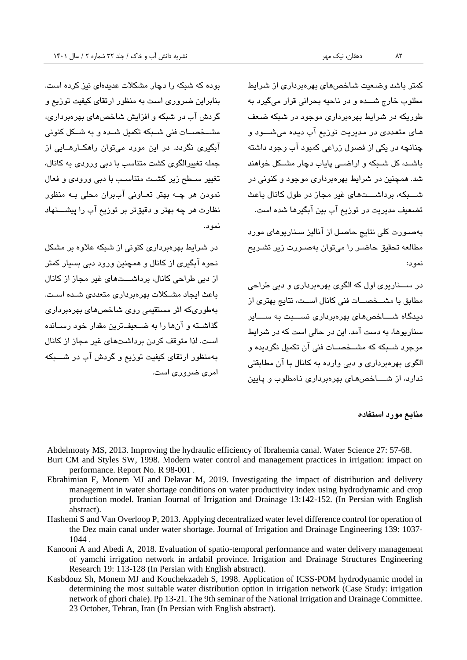بوده که شبکه را دچار مشکلات عدیدهای نیز کرده است.

بنابراین ضروری است به منظور ارتقای کیفیت توزیع و گردش آب در شبکه و افزایش شاخصهای بهرهبرداری،

مشبخصبات فنی شبکه تکمیل شبده و به شبکل کنونی آبگبری نگردد. در این مورد می توان راهکـارهــایی از

جمله تغییرالگوی کشت متناسب با دبی ورودی به کانال،

تغییر سطح زیر کشت متناسب با دبی ورودی و فعال نمودن هر چبه بهتر تعباونی آببران محلی ببه منظور نظارت هر چه بهتر و دقیقتر بر توزیع آب را پیشببنهاد

در شرایط بهرهبرداری کنونی از شبکه علاوه بر مشکل نحوه آبگیری از کانال و همچنین ورود دبی بسیار کمتر از دبی طراحی کانال، برداشـــتهای غیر مجاز از کانال

باعث ایجاد مشکلات بهرهبرداری متعددی شده است. بهطوریکه اثر مستقیمی روی شاخصهای بهرهبرداری گذاشــته و آنها را به ضــعیفترین مقدار خود رســانده است. لذا متوقف کردن برداشتهای غیر مجاز از کانال

به منظور ارتقای کیفیت توریع و گردش آب در شسبکه

کمتر باشد وضبعت شاخص های بهروبر داری از شرایط مطلوب خارج شبده و در ناحیه بحرانی قرار میگیرد به طوریکه در شرایط بهرهبرداری موجود در شبکه ضعف های متعددی در مدیریت توزیع آب دیده میشــود و چنانچه در یکی از فصول زراعی کمبود آب وجود داشته باشـد، کل شـبکه و اراضـی پایاب دچار مشـکل خواهند شد. همچنین در شرایط بهرهبرداری موجود و کنونی در شببکه، برداشبتهای غیر مجاز در طول کانال باعث تضعیف مدیریت در توریع آب بین آبگیرها شده است.

بهصبورت کلی نتایج حاصبل از آنالیز سناریوهای مورد مطالعه تحقیق حاضبر را می توان بهصبورت زیر تشبریح نمید:

در رببنار یی او ک الگیی ب رهبرداری و دبو ،راحو مطابق با مشــخصـــات فنی کانال اســت، نتایج بهتری از دیدگاه شساخص های بهرهبرداری نسسبت به سسایر سنار بوها، به دست آمد. این در حالی است که در شرایط موجود شبیکه که مشبخصبات فنی آن تکمیل نگردیده و الگوی بهرهبرداری و دبی وارده به کانال با آن مطابقتی ندارد، از شساخصهای بهرهبرداری نامطلوب و پایین

**منابع مورد استفاده**

Abdelmoaty MS, 2013. Improving the hydraulic efficiency of Ibrahemia canal. Water Science 27: 57-68.

نمید

امری ضروری است.

- Burt CM and Styles SW, 1998. Modern water control and management practices in irrigation: impact on performance. Report No. R 98-001 .
- Ebrahimian F, Monem MJ and Delavar M, 2019. Investigating the impact of distribution and delivery management in water shortage conditions on water productivity index using hydrodynamic and crop production model. Iranian Journal of Irrigation and Drainage 13:142-152. (In Persian with English abstract).
- Hashemi S and Van Overloop P, 2013. Applying decentralized water level difference control for operation of the Dez main canal under water shortage. Journal of Irrigation and Drainage Engineering 139: 1037- 1044 .
- Kanooni A and Abedi A, 2018. Evaluation of spatio-temporal performance and water delivery management of yamchi irrigation network in ardabil province. Irrigation and Drainage Structures Engineering Research 19: 113-128 (In Persian with English abstract).
- Kasbdouz Sh, Monem MJ and Kouchekzadeh S, 1998. Application of ICSS-POM hydrodynamic model in determining the most suitable water distribution option in irrigation network (Case Study: irrigation network of ghori chaie). Pp 13-21. The 9th seminar of the National Irrigation and Drainage Committee. 23 October, Tehran, Iran (In Persian with English abstract).